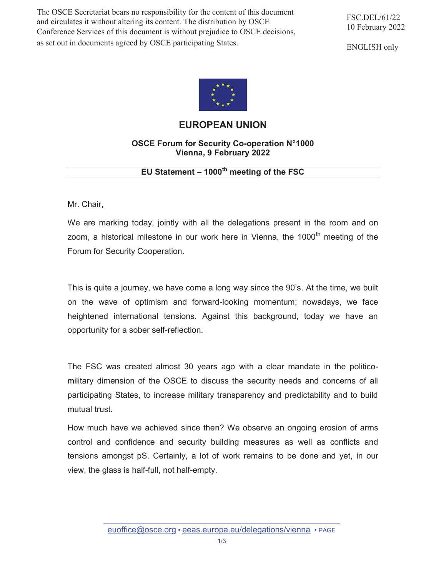The OSCE Secretariat bears no responsibility for the content of this document and circulates it without altering its content. The distribution by OSCE Conference Services of this document is without prejudice to OSCE decisions, as set out in documents agreed by OSCE participating States.

ENGLISH only



## **EUROPEAN UNION**

## **OSCE Forum for Security Co-operation N°1000 Vienna, 9 February 2022**

## **EU Statement – 1000th meeting of the FSC**

Mr. Chair,

We are marking today, jointly with all the delegations present in the room and on zoom, a historical milestone in our work here in Vienna, the  $1000<sup>th</sup>$  meeting of the Forum for Security Cooperation.

This is quite a journey, we have come a long way since the 90's. At the time, we built on the wave of optimism and forward-looking momentum; nowadays, we face heightened international tensions. Against this background, today we have an opportunity for a sober self-reflection.

The FSC was created almost 30 years ago with a clear mandate in the politicomilitary dimension of the OSCE to discuss the security needs and concerns of all participating States, to increase military transparency and predictability and to build mutual trust.

How much have we achieved since then? We observe an ongoing erosion of arms control and confidence and security building measures as well as conflicts and tensions amongst pS. Certainly, a lot of work remains to be done and yet, in our view, the glass is half-full, not half-empty.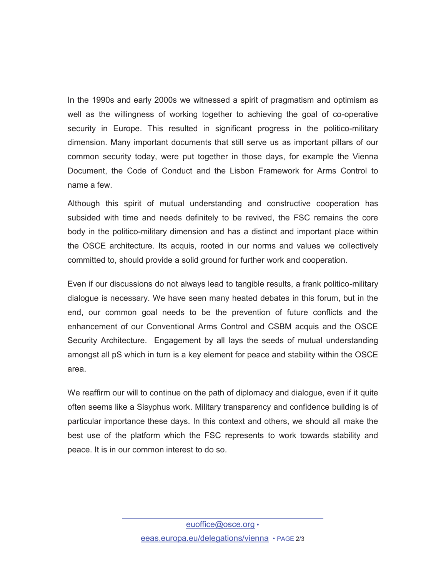In the 1990s and early 2000s we witnessed a spirit of pragmatism and optimism as well as the willingness of working together to achieving the goal of co-operative security in Europe. This resulted in significant progress in the politico-military dimension. Many important documents that still serve us as important pillars of our common security today, were put together in those days, for example the Vienna Document, the Code of Conduct and the Lisbon Framework for Arms Control to name a few.

Although this spirit of mutual understanding and constructive cooperation has subsided with time and needs definitely to be revived, the FSC remains the core body in the politico-military dimension and has a distinct and important place within the OSCE architecture. Its acquis, rooted in our norms and values we collectively committed to, should provide a solid ground for further work and cooperation.

Even if our discussions do not always lead to tangible results, a frank politico-military dialogue is necessary. We have seen many heated debates in this forum, but in the end, our common goal needs to be the prevention of future conflicts and the enhancement of our Conventional Arms Control and CSBM acquis and the OSCE Security Architecture. Engagement by all lays the seeds of mutual understanding amongst all pS which in turn is a key element for peace and stability within the OSCE area.

We reaffirm our will to continue on the path of diplomacy and dialogue, even if it quite often seems like a Sisyphus work. Military transparency and confidence building is of particular importance these days. In this context and others, we should all make the best use of the platform which the FSC represents to work towards stability and peace. It is in our common interest to do so.